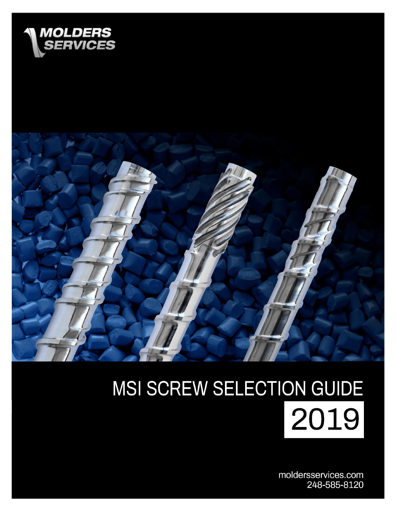



# MSI SCREW SELECTION GUIDE 2019

moldersservices.com 248-585-8120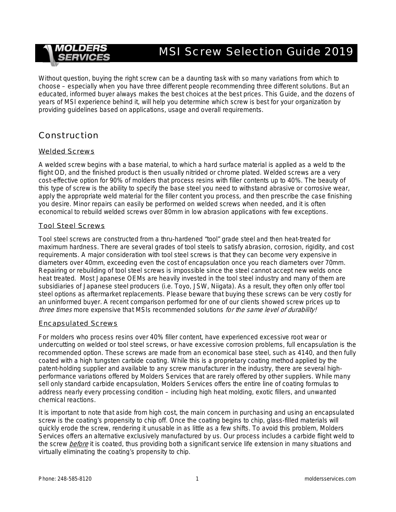# MSI Screw Selection Guide 2019

Without question, buying the right screw can be a daunting task with so many variations from which to choose – especially when you have three different people recommending three different solutions. But an educated, informed buyer always makes the best choices at the best prices. This Guide, and the dozens of years of MSI experience behind it, will help you determine which screw is best for your organization by providing guidelines based on applications, usage and overall requirements.

### Construction

#### Welded Screws

A welded screw begins with a base material, to which a hard surface material is applied as a weld to the flight OD, and the finished product is then usually nitrided or chrome plated. Welded screws are a very cost-effective option for 90% of molders that process resins with filler contents up to 40%. The beauty of this type of screw is the ability to specify the base steel you need to withstand abrasive or corrosive wear, apply the appropriate weld material for the filler content you process, and then prescribe the case finishing you desire. Minor repairs can easily be performed on welded screws when needed, and it is often economical to rebuild welded screws over 80mm in low abrasion applications with few exceptions.

#### Tool Steel Screws

Tool steel screws are constructed from a thru-hardened "tool" grade steel and then heat-treated for maximum hardness. There are several grades of tool steels to satisfy abrasion, corrosion, rigidity, and cost requirements. A major consideration with tool steel screws is that they can become very expensive in diameters over 40mm, exceeding even the cost of encapsulation once you reach diameters over 70mm. Repairing or rebuilding of tool steel screws is impossible since the steel cannot accept new welds once heat treated. Most Japanese OEMs are heavily invested in the tool steel industry and many of them are subsidiaries of Japanese steel producers (i.e. Toyo, JSW, Niigata). As a result, they often only offer tool steel options as aftermarket replacements. Please beware that buying these screws can be very costly for an uninformed buyer. A recent comparison performed for one of our clients showed screw prices up to three times more expensive that MSIs recommended solutions for the same level of durability!

#### Encapsulated Screws

For molders who process resins over 40% filler content, have experienced excessive root wear or undercutting on welded or tool steel screws, or have excessive corrosion problems, full encapsulation is the recommended option. These screws are made from an economical base steel, such as 4140, and then fully coated with a high tungsten carbide coating. While this is a proprietary coating method applied by the patent-holding supplier and available to any screw manufacturer in the industry, there are several highperformance variations offered by Molders Services that are rarely offered by other suppliers. While many sell only standard carbide encapsulation, Molders Services offers the entire line of coating formulas to address nearly every processing condition – including high heat molding, exotic fillers, and unwanted chemical reactions.

It is important to note that aside from high cost, the main concern in purchasing and using an encapsulated screw is the coating's propensity to chip off. Once the coating begins to chip, glass-filled materials will quickly erode the screw, rendering it unusable in as little as a few shifts. To avoid this problem, Molders Services offers an alternative exclusively manufactured by us. Our process includes a carbide flight weld to the screw *before* it is coated, thus providing both a significant service life extension in many situations and virtually eliminating the coating's propensity to chip.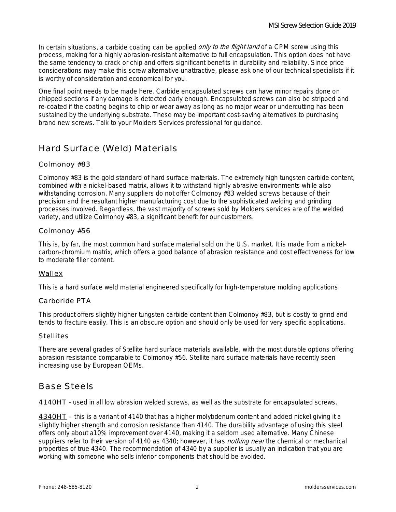In certain situations, a carbide coating can be applied *only to the flight land* of a CPM screw using this process, making for a highly abrasion-resistant alternative to full encapsulation. This option does not have the same tendency to crack or chip and offers significant benefits in durability and reliability. Since price considerations may make this screw alternative unattractive, please ask one of our technical specialists if it is worthy of consideration and economical for you.

One final point needs to be made here. Carbide encapsulated screws can have minor repairs done on chipped sections if any damage is detected early enough. Encapsulated screws can also be stripped and re-coated if the coating begins to chip or wear away as long as no major wear or undercutting has been sustained by the underlying substrate. These may be important cost-saving alternatives to purchasing brand new screws. Talk to your Molders Services professional for guidance.

# Hard Surface (Weld) Materials

#### Colmonoy #83

Colmonoy #83 is the gold standard of hard surface materials. The extremely high tungsten carbide content, combined with a nickel-based matrix, allows it to withstand highly abrasive environments while also withstanding corrosion. Many suppliers do not offer Colmonoy #83 welded screws because of their precision and the resultant higher manufacturing cost due to the sophisticated welding and grinding processes involved. Regardless, the vast majority of screws sold by Molders services are of the welded variety, and utilize Colmonoy #83, a significant benefit for our customers.

#### Colmonoy #56

This is, by far, the most common hard surface material sold on the U.S. market. It is made from a nickelcarbon-chromium matrix, which offers a good balance of abrasion resistance and cost effectiveness for low to moderate filler content.

#### Wallex

This is a hard surface weld material engineered specifically for high-temperature molding applications.

#### Carboride PTA

This product offers slightly higher tungsten carbide content than Colmonoy #83, but is costly to grind and tends to fracture easily. This is an obscure option and should only be used for very specific applications.

#### **Stellites**

There are several grades of Stellite hard surface materials available, with the most durable options offering abrasion resistance comparable to Colmonoy #56. Stellite hard surface materials have recently seen increasing use by European OEMs.

#### Base Steels

4140HT - used in all low abrasion welded screws, as well as the substrate for encapsulated screws.

4340HT – this is a variant of 4140 that has a higher molybdenum content and added nickel giving it a slightly higher strength and corrosion resistance than 4140. The durability advantage of using this steel offers only about a10% improvement over 4140, making it a seldom used alternative. Many Chinese suppliers refer to their version of 4140 as 4340; however, it has *nothing near* the chemical or mechanical properties of true 4340. The recommendation of 4340 by a supplier is usually an indication that you are working with someone who sells inferior components that should be avoided.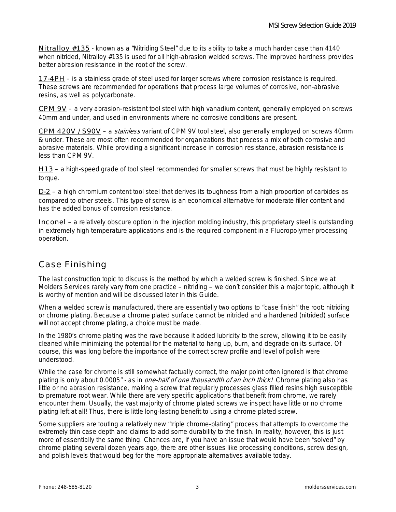Nitralloy #135 - known as a "Nitriding Steel" due to its ability to take a much harder case than 4140 when nitrided, Nitralloy #135 is used for all high-abrasion welded screws. The improved hardness provides better abrasion resistance in the root of the screw.

17-4PH – is a stainless grade of steel used for larger screws where corrosion resistance is required. These screws are recommended for operations that process large volumes of corrosive, non-abrasive resins, as well as polycarbonate.

CPM 9V – a very abrasion-resistant tool steel with high vanadium content, generally employed on screws 40mm and under, and used in environments where no corrosive conditions are present.

CPM 420V / S90V – a stainless variant of CPM 9V tool steel, also generally employed on screws 40mm & under. These are most often recommended for organizations that process a mix of both corrosive and abrasive materials. While providing a significant increase in corrosion resistance, abrasion resistance is less than CPM 9V.

H13 – a high-speed grade of tool steel recommended for smaller screws that must be highly resistant to torque.

 $D-2$  – a high chromium content tool steel that derives its toughness from a high proportion of carbides as compared to other steels. This type of screw is an economical alternative for moderate filler content and has the added bonus of corrosion resistance.

Inconel – a relatively obscure option in the injection molding industry, this proprietary steel is outstanding in extremely high temperature applications and is the required component in a Fluoropolymer processing operation.

# Case Finishing

The last construction topic to discuss is the method by which a welded screw is finished. Since we at Molders Services rarely vary from one practice – nitriding – we don't consider this a major topic, although it is worthy of mention and will be discussed later in this Guide.

When a welded screw is manufactured, there are essentially two options to "case finish" the root: nitriding or chrome plating. Because a chrome plated surface cannot be nitrided and a hardened (nitrided) surface will not accept chrome plating, a choice must be made.

In the 1980's chrome plating was the rave because it added lubricity to the screw, allowing it to be easily cleaned while minimizing the potential for the material to hang up, burn, and degrade on its surface. Of course, this was long before the importance of the correct screw profile and level of polish were understood.

While the case for chrome is still somewhat factually correct, the major point often ignored is that chrome plating is only about 0.0005" - as in *one-half of one thousandth of an inch thick!* Chrome plating also has little or no abrasion resistance, making a screw that regularly processes glass filled resins high susceptible to premature root wear. While there are very specific applications that benefit from chrome, we rarely encounter them. Usually, the vast majority of chrome plated screws we inspect have little or no chrome plating left at all! Thus, there is little long-lasting benefit to using a chrome plated screw.

Some suppliers are touting a relatively new "triple chrome-plating" process that attempts to overcome the extremely thin case depth and claims to add some durability to the finish. In reality, however, this is just more of essentially the same thing. Chances are, if you have an issue that would have been "solved" by chrome plating several dozen years ago, there are other issues like processing conditions, screw design, and polish levels that would beg for the more appropriate alternatives available today.